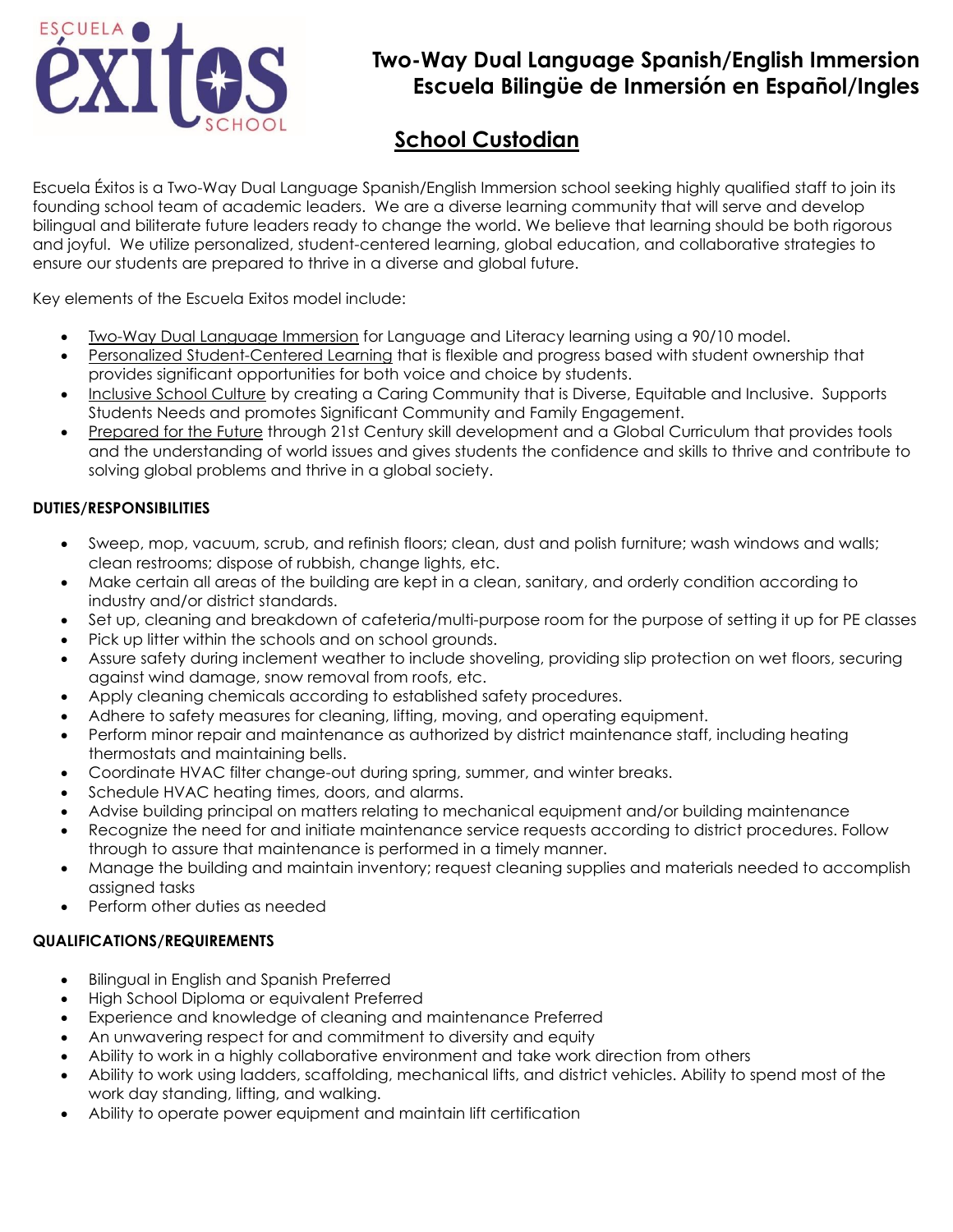

# **Two-Way Dual Language Spanish/English Immersion Escuela Bilingüe de Inmersión en Español/Ingles**

# **School Custodian**

Escuela Éxitos is a Two-Way Dual Language Spanish/English Immersion school seeking highly qualified staff to join its founding school team of academic leaders. We are a diverse learning community that will serve and develop bilingual and biliterate future leaders ready to change the world. We believe that learning should be both rigorous and joyful. We utilize personalized, student-centered learning, global education, and collaborative strategies to ensure our students are prepared to thrive in a diverse and global future.

Key elements of the Escuela Exitos model include:

- Two-Way Dual Language Immersion for Language and Literacy learning using a 90/10 model.
- Personalized Student-Centered Learning that is flexible and progress based with student ownership that provides significant opportunities for both voice and choice by students.
- Inclusive School Culture by creating a Caring Community that is Diverse, Equitable and Inclusive. Supports Students Needs and promotes Significant Community and Family Engagement.
- Prepared for the Future through 21st Century skill development and a Global Curriculum that provides tools and the understanding of world issues and gives students the confidence and skills to thrive and contribute to solving global problems and thrive in a global society.

## **DUTIES/RESPONSIBILITIES**

- Sweep, mop, vacuum, scrub, and refinish floors; clean, dust and polish furniture; wash windows and walls; clean restrooms; dispose of rubbish, change lights, etc.
- Make certain all areas of the building are kept in a clean, sanitary, and orderly condition according to industry and/or district standards.
- Set up, cleaning and breakdown of cafeteria/multi-purpose room for the purpose of setting it up for PE classes
- Pick up litter within the schools and on school grounds.
- Assure safety during inclement weather to include shoveling, providing slip protection on wet floors, securing against wind damage, snow removal from roofs, etc.
- Apply cleaning chemicals according to established safety procedures.
- Adhere to safety measures for cleaning, lifting, moving, and operating equipment.
- Perform minor repair and maintenance as authorized by district maintenance staff, including heating thermostats and maintaining bells.
- Coordinate HVAC filter change-out during spring, summer, and winter breaks.
- Schedule HVAC heating times, doors, and alarms.
- Advise building principal on matters relating to mechanical equipment and/or building maintenance
- Recognize the need for and initiate maintenance service requests according to district procedures. Follow through to assure that maintenance is performed in a timely manner.
- Manage the building and maintain inventory; request cleaning supplies and materials needed to accomplish assigned tasks
- Perform other duties as needed

### **QUALIFICATIONS/REQUIREMENTS**

- Bilingual in English and Spanish Preferred
- High School Diploma or equivalent Preferred
- Experience and knowledge of cleaning and maintenance Preferred
- An unwavering respect for and commitment to diversity and equity
- Ability to work in a highly collaborative environment and take work direction from others
- Ability to work using ladders, scaffolding, mechanical lifts, and district vehicles. Ability to spend most of the work day standing, lifting, and walking.
- Ability to operate power equipment and maintain lift certification